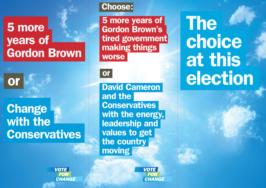## 5 more years of Gordon Brown

or

# **Change**  with the **Conservatives**

## Choose:

 5 more years of Gordon Brown's tired government making things worse

### or

 David Cameron and the **Conservatives**  with the energy, leadership and values to get the country moving



**VOTE** 

**FOR** 



**The**  choice at this election